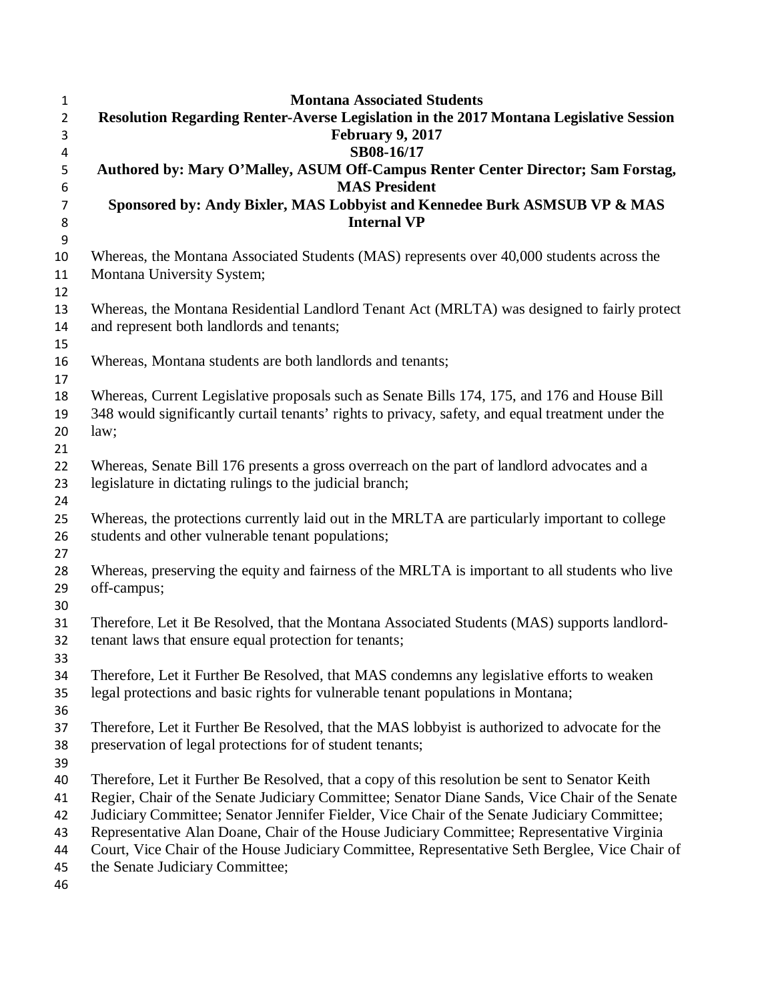| $\mathbf{1}$     | <b>Montana Associated Students</b>                                                                                                |  |  |
|------------------|-----------------------------------------------------------------------------------------------------------------------------------|--|--|
| $\overline{2}$   | Resolution Regarding Renter-Averse Legislation in the 2017 Montana Legislative Session                                            |  |  |
| 3                | <b>February 9, 2017</b>                                                                                                           |  |  |
| 4                | SB08-16/17                                                                                                                        |  |  |
| 5<br>6           | Authored by: Mary O'Malley, ASUM Off-Campus Renter Center Director; Sam Forstag,<br><b>MAS President</b>                          |  |  |
| 7                | Sponsored by: Andy Bixler, MAS Lobbyist and Kennedee Burk ASMSUB VP & MAS                                                         |  |  |
| 8                | <b>Internal VP</b>                                                                                                                |  |  |
| $\boldsymbol{9}$ |                                                                                                                                   |  |  |
| 10               | Whereas, the Montana Associated Students (MAS) represents over 40,000 students across the                                         |  |  |
| 11<br>12         | Montana University System;                                                                                                        |  |  |
| 13               | Whereas, the Montana Residential Landlord Tenant Act (MRLTA) was designed to fairly protect                                       |  |  |
| 14               | and represent both landlords and tenants;                                                                                         |  |  |
| 15               |                                                                                                                                   |  |  |
| 16               | Whereas, Montana students are both landlords and tenants;                                                                         |  |  |
| 17               |                                                                                                                                   |  |  |
| 18               | Whereas, Current Legislative proposals such as Senate Bills 174, 175, and 176 and House Bill                                      |  |  |
| 19<br>20         | 348 would significantly curtail tenants' rights to privacy, safety, and equal treatment under the                                 |  |  |
| 21               | law;                                                                                                                              |  |  |
| 22               | Whereas, Senate Bill 176 presents a gross overreach on the part of landlord advocates and a                                       |  |  |
| 23               | legislature in dictating rulings to the judicial branch;                                                                          |  |  |
| 24               |                                                                                                                                   |  |  |
| 25               | Whereas, the protections currently laid out in the MRLTA are particularly important to college                                    |  |  |
| 26               | students and other vulnerable tenant populations;                                                                                 |  |  |
| 27               |                                                                                                                                   |  |  |
| 28<br>29         | Whereas, preserving the equity and fairness of the MRLTA is important to all students who live<br>off-campus;                     |  |  |
| 30               |                                                                                                                                   |  |  |
| 31               | Therefore, Let it Be Resolved, that the Montana Associated Students (MAS) supports landlord-                                      |  |  |
| 32               | tenant laws that ensure equal protection for tenants;                                                                             |  |  |
| 33               |                                                                                                                                   |  |  |
| 34               | Therefore, Let it Further Be Resolved, that MAS condemns any legislative efforts to weaken                                        |  |  |
| 35               | legal protections and basic rights for vulnerable tenant populations in Montana;                                                  |  |  |
| 36               |                                                                                                                                   |  |  |
| 37               | Therefore, Let it Further Be Resolved, that the MAS lobbyist is authorized to advocate for the                                    |  |  |
| 38               | preservation of legal protections for of student tenants;                                                                         |  |  |
| 39               |                                                                                                                                   |  |  |
| 40               | Therefore, Let it Further Be Resolved, that a copy of this resolution be sent to Senator Keith                                    |  |  |
| 41               | Regier, Chair of the Senate Judiciary Committee; Senator Diane Sands, Vice Chair of the Senate                                    |  |  |
| 42               | Judiciary Committee; Senator Jennifer Fielder, Vice Chair of the Senate Judiciary Committee;                                      |  |  |
| 43               | Representative Alan Doane, Chair of the House Judiciary Committee; Representative Virginia                                        |  |  |
| 44<br>45         | Court, Vice Chair of the House Judiciary Committee, Representative Seth Berglee, Vice Chair of<br>the Senate Judiciary Committee; |  |  |